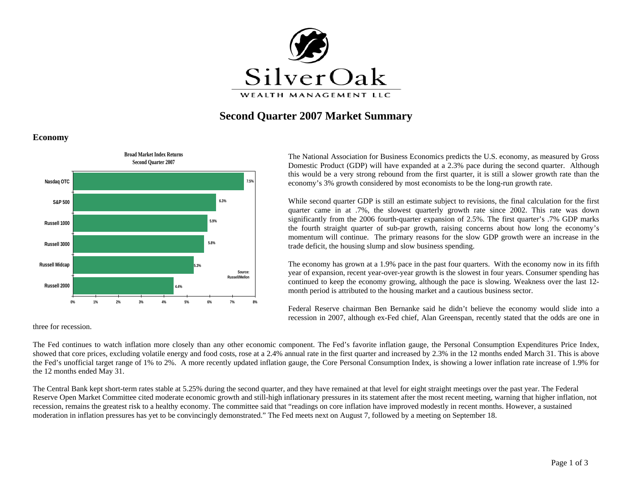

# **Second Quarter 2007 Market Summary**

**Economy**



The National Association for Business Economics predicts the U.S. economy, as measured by Gross Domestic Product (GDP) will have expanded at a 2.3% pace during the second quarter. Although this would be a very strong rebound from the first quarter, it is still a slower growth rate than the economy's 3% growth considered by most economists to be the long-run growth rate.

While second quarter GDP is still an estimate subject to revisions, the final calculation for the first quarter came in at .7%, the slowest quarterly growth rate since 2002. This rate was down significantly from the 2006 fourth-quarter expansion of 2.5%. The first quarter's .7% GDP marks the fourth straight quarter of sub-par growth, raising concerns about how long the economy's momentum will continue. The primary reasons for the slow GDP growth were an increase in the trade deficit, the housing slump and slow business spending.

The economy has grown at a 1.9% pace in the past four quarters. With the economy now in its fifth year of expansion, recent year-over-year growth is the slowest in four years. Consumer spending has continued to keep the economy growing, although the pace is slowing. Weakness over the last 12 month period is attributed to the housing market and a cautious business sector.

Federal Reserve chairman Ben Bernanke said he didn't believe the economy would slide into a recession in 2007, although ex-Fed chief, Alan Greenspan, recently stated that the odds are one in

three for recession.

The Fed continues to watch inflation more closely than any other economic component. The Fed's favorite inflation gauge, the Personal Consumption Expenditures Price Index, showed that core prices, excluding volatile energy and food costs, rose at a 2.4% annual rate in the first quarter and increased by 2.3% in the 12 months ended March 31. This is above the Fed's unofficial target range of 1% to 2%. A more recently updated inflation gauge, the Core Personal Consumption Index, is showing a lower inflation rate increase of 1.9% for the 12 months ended May 31.

The Central Bank kept short-term rates stable at 5.25% during the second quarter, and they have remained at that level for eight straight meetings over the past year. The Federal Reserve Open Market Committee cited moderate economic growth and still-high inflationary pressures in its statement after the most recent meeting, warning that higher inflation, not recession, remains the greatest risk to a healthy economy. The committee said that "readings on core inflation have improved modestly in recent months. However, a sustained moderation in inflation pressures has yet to be convincingly demonstrated." The Fed meets next on August 7, followed by a meeting on September 18.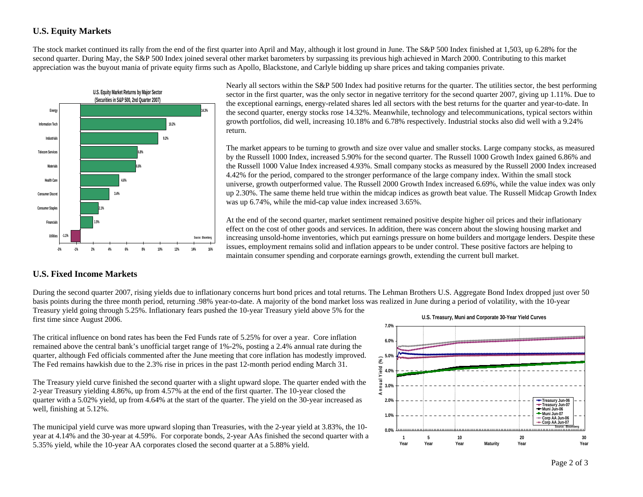# **U.S. Equity Markets**

The stock market continued its rally from the end of the first quarter into April and May, although it lost ground in June. The S&P 500 Index finished at 1,503, up 6.28% for the second quarter. During May, the S&P 500 Index joined several other market barometers by surpassing its previous high achieved in March 2000. Contributing to this market appreciation was the buyout mania of private equity firms such as Apollo, Blackstone, and Carlyle bidding up share prices and taking companies private.



Nearly all sectors within the S&P 500 Index had positive returns for the quarter. The utilities sector, the best performing sector in the first quarter, was the only sector in negative territory for the second quarter 2007, giving up 1.11%. Due to the exceptional earnings, energy-related shares led all sectors with the best returns for the quarter and year-to-date. In the second quarter, energy stocks rose 14.32%. Meanwhile, technology and telecommunications, typical sectors within growth portfolios, did well, increasing 10.18% and 6.78% respectively. Industrial stocks also did well with a 9.24% return.

The market appears to be turning to growth and size over value and smaller stocks. Large company stocks, as measured by the Russell 1000 Index, increased 5.90% for the second quarter. The Russell 1000 Growth Index gained 6.86% and the Russell 1000 Value Index increased 4.93%. Small company stocks as measured by the Russell 2000 Index increased 4.42% for the period, compared to the stronger performance of the large company index. Within the small stock universe, growth outperformed value. The Russell 2000 Growth Index increased 6.69%, while the value index was only up 2.30%. The same theme held true within the midcap indices as growth beat value. The Russell Midcap Growth Index was up 6.74%, while the mid-cap value index increased 3.65%.

At the end of the second quarter, market sentiment remained positive despite higher oil prices and their inflationary effect on the cost of other goods and services. In addition, there was concern about the slowing housing market and increasing unsold-home inventories, which put earnings pressure on home builders and mortgage lenders. Despite these issues, employment remains solid and inflation appears to be under control. These positive factors are helping to maintain consumer spending and corporate earnings growth, extending the current bull market.

### **U.S. Fixed Income Markets**

During the second quarter 2007, rising yields due to inflationary concerns hurt bond prices and total returns. The Lehman Brothers U.S. Aggregate Bond Index dropped just over 50 basis points during the three month period, returning .98% year-to-date. A majority of the bond market loss was realized in June during a period of volatility, with the 10-year Treasury yield going through 5.25%. Inflationary fears pushed the 10-year Treasury yield above 5% for the first time since August 2006. **U.S. Treasury, Muni and Corporate 30-Year Yield Curves**

The critical influence on bond rates has been the Fed Funds rate of 5.25% for over a year. Core inflation remained above the central bank's unofficial target range of 1%-2%, posting a 2.4% annual rate during the quarter, although Fed officials commented after the June meeting that core inflation has modestly improved. The Fed remains hawkish due to the 2.3% rise in prices in the past 12-month period ending March 31.

The Treasury yield curve finished the second quarter with a slight upward slope. The quarter ended with the 2-year Treasury yielding 4.86%, up from 4.57% at the end of the first quarter. The 10-year closed the quarter with a 5.02% yield, up from 4.64% at the start of the quarter. The yield on the 30-year increased as well, finishing at 5.12%.

The municipal yield curve was more upward sloping than Treasuries, with the 2-year yield at 3.83%, the 10 year at 4.14% and the 30-year at 4.59%. For corporate bonds, 2-year AAs finished the second quarter with a 5.35% yield, while the 10-year AA corporates closed the second quarter at a 5.88% yield.